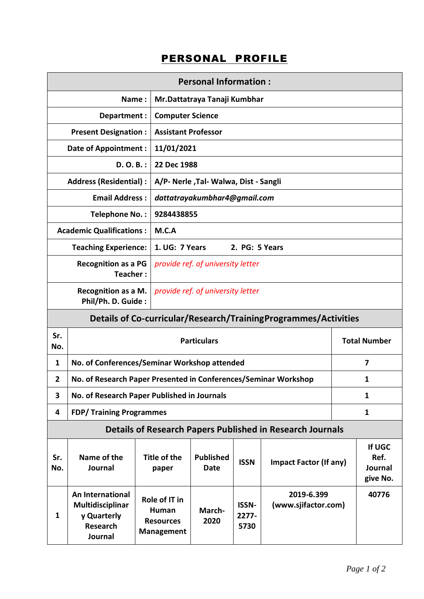## PERSONAL PROFILE

| <b>Personal Information:</b>                                     |                                                                                   |                                                          |                                        |                               |                                   |                                       |  |  |
|------------------------------------------------------------------|-----------------------------------------------------------------------------------|----------------------------------------------------------|----------------------------------------|-------------------------------|-----------------------------------|---------------------------------------|--|--|
|                                                                  | Name:                                                                             |                                                          | Mr.Dattatraya Tanaji Kumbhar           |                               |                                   |                                       |  |  |
| Department:                                                      |                                                                                   |                                                          | <b>Computer Science</b>                |                               |                                   |                                       |  |  |
| <b>Present Designation:</b>                                      |                                                                                   |                                                          | <b>Assistant Professor</b>             |                               |                                   |                                       |  |  |
| <b>Date of Appointment:</b>                                      |                                                                                   |                                                          | 11/01/2021                             |                               |                                   |                                       |  |  |
| $D. O. B.$ :                                                     |                                                                                   |                                                          | 22 Dec 1988                            |                               |                                   |                                       |  |  |
|                                                                  | <b>Address (Residential):</b>                                                     |                                                          | A/P- Nerle , Tal- Walwa, Dist - Sangli |                               |                                   |                                       |  |  |
|                                                                  | <b>Email Address:</b>                                                             |                                                          | dattatrayakumbhar4@gmail.com           |                               |                                   |                                       |  |  |
|                                                                  | Telephone No.:                                                                    |                                                          | 9284438855                             |                               |                                   |                                       |  |  |
| <b>Academic Qualifications:</b>                                  |                                                                                   | M.C.A                                                    |                                        |                               |                                   |                                       |  |  |
| <b>Teaching Experience:</b>                                      |                                                                                   |                                                          | 1. UG: 7 Years<br>2. PG: 5 Years       |                               |                                   |                                       |  |  |
| <b>Recognition as a PG</b><br>Teacher:                           |                                                                                   |                                                          | provide ref. of university letter      |                               |                                   |                                       |  |  |
| <b>Recognition as a M.</b><br>Phil/Ph. D. Guide:                 |                                                                                   |                                                          | provide ref. of university letter      |                               |                                   |                                       |  |  |
| Details of Co-curricular/Research/TrainingProgrammes/Activities  |                                                                                   |                                                          |                                        |                               |                                   |                                       |  |  |
| Sr.<br>No.                                                       | <b>Particulars</b>                                                                |                                                          |                                        |                               |                                   | <b>Total Number</b>                   |  |  |
| 1                                                                | No. of Conferences/Seminar Workshop attended                                      |                                                          |                                        |                               |                                   | 7                                     |  |  |
| $\overline{2}$                                                   | No. of Research Paper Presented in Conferences/Seminar Workshop                   |                                                          |                                        |                               |                                   | 1                                     |  |  |
| 3                                                                | No. of Research Paper Published in Journals                                       |                                                          |                                        |                               |                                   | 1                                     |  |  |
| 4                                                                | <b>FDP/Training Programmes</b>                                                    |                                                          |                                        |                               |                                   | $\mathbf{1}$                          |  |  |
| <b>Details of Research Papers Published in Research Journals</b> |                                                                                   |                                                          |                                        |                               |                                   |                                       |  |  |
| Sr.<br>No.                                                       | Name of the<br><b>Journal</b>                                                     | Title of the<br>paper                                    | <b>Published</b><br><b>Date</b>        | <b>ISSN</b>                   | <b>Impact Factor (If any)</b>     | If UGC<br>Ref.<br>Journal<br>give No. |  |  |
| $\mathbf{1}$                                                     | An International<br>Multidisciplinar<br>y Quarterly<br><b>Research</b><br>Journal | Role of IT in<br>Human<br><b>Resources</b><br>Management | March-<br>2020                         | <b>ISSN-</b><br>2277-<br>5730 | 2019-6.399<br>(www.sjifactor.com) | 40776                                 |  |  |